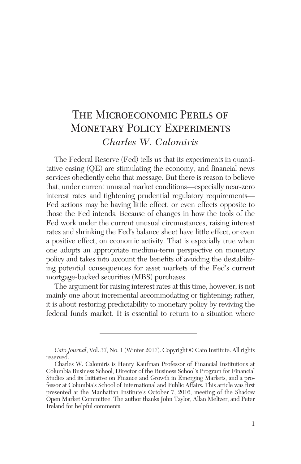# The Microeconomic Perils of Monetary Policy Experiments *Charles W. Calomiris*

The Federal Reserve (Fed) tells us that its experiments in quantitative easing (QE) are stimulating the economy, and financial news services obediently echo that message. But there is reason to believe that, under current unusual market conditions—especially near-zero interest rates and tightening prudential regulatory requirements— Fed actions may be having little effect, or even effects opposite to those the Fed intends. Because of changes in how the tools of the Fed work under the current unusual circumstances, raising interest rates and shrinking the Fed's balance sheet have little effect, or even a positive effect, on economic activity. That is especially true when one adopts an appropriate medium-term perspective on monetary policy and takes into account the benefits of avoiding the destabilizing potential consequences for asset markets of the Fed's current mortgage-backed securities (MBS) purchases.

The argument for raising interest rates at this time, however, is not mainly one about incremental accommodating or tightening; rather, it is about restoring predictability to monetary policy by reviving the federal funds market. It is essential to return to a situation where

*Cato Journal*, Vol. 37, No. 1 (Winter 2017). Copyright © Cato Institute. All rights reserved.

Charles W. Calomiris is Henry Kaufman Professor of Financial Institutions at Columbia Business School, Director of the Business School's Program for Financial Studies and its Initiative on Finance and Growth in Emerging Markets, and a professor at Columbia's School of International and Public Affairs. This article was first presented at the Manhattan Institute's October 7, 2016, meeting of the Shadow Open Market Committee. The author thanks John Taylor, Allan Meltzer, and Peter Ireland for helpful comments.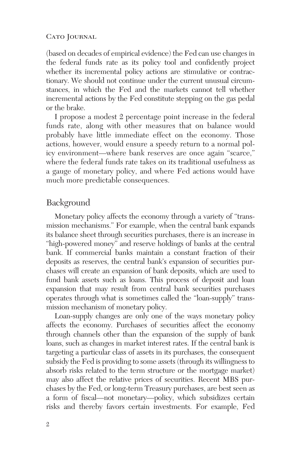(based on decades of empirical evidence) the Fed can use changes in the federal funds rate as its policy tool and confidently project whether its incremental policy actions are stimulative or contractionary. We should not continue under the current unusual circumstances, in which the Fed and the markets cannot tell whether incremental actions by the Fed constitute stepping on the gas pedal or the brake.

I propose a modest 2 percentage point increase in the federal funds rate, along with other measures that on balance would probably have little immediate effect on the economy. Those actions, however, would ensure a speedy return to a normal policy environment—where bank reserves are once again "scarce," where the federal funds rate takes on its traditional usefulness as a gauge of monetary policy, and where Fed actions would have much more predictable consequences.

### **Background**

Monetary policy affects the economy through a variety of "transmission mechanisms." For example, when the central bank expands its balance sheet through securities purchases, there is an increase in "high-powered money" and reserve holdings of banks at the central bank. If commercial banks maintain a constant fraction of their deposits as reserves, the central bank's expansion of securities purchases will create an expansion of bank deposits, which are used to fund bank assets such as loans. This process of deposit and loan expansion that may result from central bank securities purchases operates through what is sometimes called the "loan-supply" transmission mechanism of monetary policy.

Loan-supply changes are only one of the ways monetary policy affects the economy. Purchases of securities affect the economy through channels other than the expansion of the supply of bank loans, such as changes in market interest rates. If the central bank is targeting a particular class of assets in its purchases, the consequent subsidy the Fed is providing to some assets (through its willingness to absorb risks related to the term structure or the mortgage market) may also affect the relative prices of securities. Recent MBS purchases by the Fed, or long-term Treasury purchases, are best seen as a form of fiscal—not monetary—policy, which subsidizes certain risks and thereby favors certain investments. For example, Fed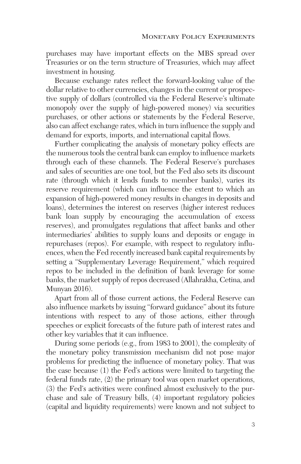purchases may have important effects on the MBS spread over Treasuries or on the term structure of Treasuries, which may affect investment in housing.

Because exchange rates reflect the forward-looking value of the dollar relative to other currencies, changes in the current or prospective supply of dollars (controlled via the Federal Reserve's ultimate monopoly over the supply of high-powered money) via securities purchases, or other actions or statements by the Federal Reserve, also can affect exchange rates, which in turn influence the supply and demand for exports, imports, and international capital flows.

Further complicating the analysis of monetary policy effects are the numerous tools the central bank can employ to influence markets through each of these channels. The Federal Reserve's purchases and sales of securities are one tool, but the Fed also sets its discount rate (through which it lends funds to member banks), varies its reserve requirement (which can influence the extent to which an expansion of high-powered money results in changes in deposits and loans), determines the interest on reserves (higher interest reduces bank loan supply by encouraging the accumulation of excess reserves), and promulgates regulations that affect banks and other intermediaries' abilities to supply loans and deposits or engage in repurchases (repos). For example, with respect to regulatory influences, when the Fed recently increased bank capital requirements by setting a "Supplementary Leverage Requirement," which required repos to be included in the definition of bank leverage for some banks, the market supply of repos decreased (Allahrakha, Cetina, and Munyan 2016).

Apart from all of those current actions, the Federal Reserve can also influence markets by issuing "forward guidance" about its future intentions with respect to any of those actions, either through speeches or explicit forecasts of the future path of interest rates and other key variables that it can influence.

During some periods (e.g., from 1983 to 2001), the complexity of the monetary policy transmission mechanism did not pose major problems for predicting the influence of monetary policy. That was the case because (1) the Fed's actions were limited to targeting the federal funds rate, (2) the primary tool was open market operations, (3) the Fed's activities were confined almost exclusively to the purchase and sale of Treasury bills, (4) important regulatory policies (capital and liquidity requirements) were known and not subject to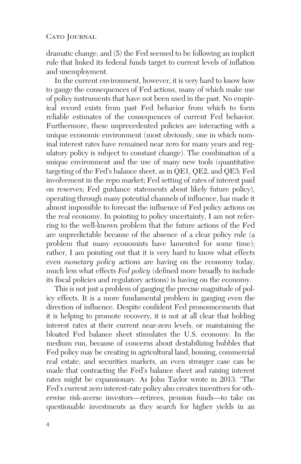dramatic change, and (5) the Fed seemed to be following an implicit rule that linked its federal funds target to current levels of inflation and unemployment.

In the current environment, however, it is very hard to know how to gauge the consequences of Fed actions, many of which make use of policy instruments that have not been used in the past. No empirical record exists from past Fed behavior from which to form reliable estimates of the consequences of current Fed behavior. Furthermore, these unprecedented policies are interacting with a unique economic environment (most obviously, one in which nominal interest rates have remained near zero for many years and regulatory policy is subject to constant change). The combination of a unique environment and the use of many new tools (quantitative targeting of the Fed's balance sheet, as in QE1, QE2, and QE3; Fed involvement in the repo market; Fed setting of rates of interest paid on reserves; Fed guidance statements about likely future policy), operating through many potential channels of influence, has made it almost impossible to forecast the influence of Fed policy actions on the real economy. In pointing to policy uncertainty, I am not referring to the well-known problem that the future actions of the Fed are unpredictable because of the absence of a clear policy rule (a problem that many economists have lamented for some time); rather, I am pointing out that it is very hard to know what effects even *monetary policy* actions are having on the economy today, much less what effects *Fed policy* (defined more broadly to include its fiscal policies and regulatory actions) is having on the economy.

This is not just a problem of gauging the precise magnitude of policy effects. It is a more fundamental problem in gauging even the direction of influence. Despite confident Fed pronouncements that it is helping to promote recovery, it is not at all clear that holding interest rates at their current near-zero levels, or maintaining the bloated Fed balance sheet stimulates the U.S. economy. In the medium run, because of concerns about destabilizing bubbles that Fed policy may be creating in agricultural land, housing, commercial real estate, and securities markets, an even stronger case can be made that contracting the Fed's balance sheet and raising interest rates might be expansionary. As John Taylor wrote in 2013: "The Fed's current zero interest-rate policy also creates incentives for otherwise risk-averse investors—retirees, pension funds—to take on questionable investments as they search for higher yields in an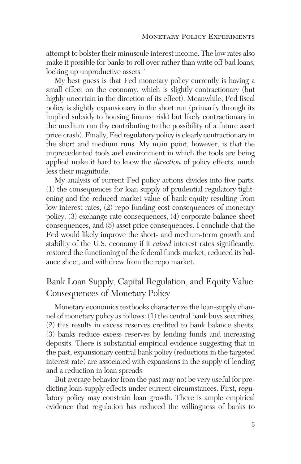attempt to bolster their minuscule interest income. The low rates also make it possible for banks to roll over rather than write off bad loans, locking up unproductive assets."

My best guess is that Fed monetary policy currently is having a small effect on the economy, which is slightly contractionary (but highly uncertain in the direction of its effect). Meanwhile, Fed fiscal policy is slightly expansionary in the short run (primarily through its implied subsidy to housing finance risk) but likely contractionary in the medium run (by contributing to the possibility of a future asset price crash). Finally, Fed regulatory policy is clearly contractionary in the short and medium runs. My main point, however, is that the unprecedented tools and environment in which the tools are being applied make it hard to know the *direction* of policy effects, much less their magnitude.

My analysis of current Fed policy actions divides into five parts: (1) the consequences for loan supply of prudential regulatory tightening and the reduced market value of bank equity resulting from low interest rates, (2) repo funding cost consequences of monetary policy, (3) exchange rate consequences, (4) corporate balance sheet consequences, and (5) asset price consequences. I conclude that the Fed would likely improve the short- and medium-term growth and stability of the U.S. economy if it *raised* interest rates significantly, restored the functioning of the federal funds market, reduced its balance sheet, and withdrew from the repo market.

# Bank Loan Supply, Capital Regulation, and Equity Value Consequences of Monetary Policy

Monetary economics textbooks characterize the loan-supply channel of monetary policy as follows: (1) the central bank buys securities, (2) this results in excess reserves credited to bank balance sheets, (3) banks reduce excess reserves by lending funds and increasing deposits. There is substantial empirical evidence suggesting that in the past, expansionary central bank policy (reductions in the targeted interest rate) are associated with expansions in the supply of lending and a reduction in loan spreads.

But average behavior from the past may not be very useful for predicting loan-supply effects under current circumstances. First, regulatory policy may constrain loan growth. There is ample empirical evidence that regulation has reduced the willingness of banks to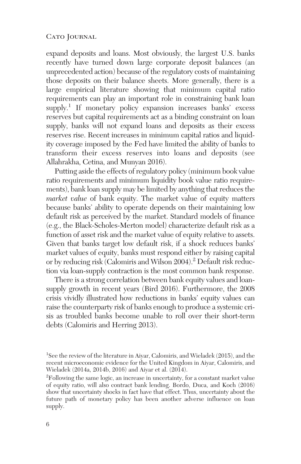expand deposits and loans. Most obviously, the largest U.S. banks recently have turned down large corporate deposit balances (an unprecedented action) because of the regulatory costs of maintaining those deposits on their balance sheets. More generally, there is a large empirical literature showing that minimum capital ratio requirements can play an important role in constraining bank loan  $supply<sup>1</sup>$  If monetary policy expansion increases banks' excess reserves but capital requirements act as a binding constraint on loan supply, banks will not expand loans and deposits as their excess reserves rise. Recent increases in minimum capital ratios and liquidity coverage imposed by the Fed have limited the ability of banks to transform their excess reserves into loans and deposits (see Allahrakha, Cetina, and Munyan 2016).

Putting aside the effects of regulatory policy (minimum book value ratio requirements and minimum liquidity book value ratio requirements), bank loan supply may be limited by anything that reduces the *market value* of bank equity. The market value of equity matters because banks' ability to operate depends on their maintaining low default risk as perceived by the market. Standard models of finance (e.g., the Black-Scholes-Merton model) characterize default risk as a function of asset risk and the market value of equity relative to assets. Given that banks target low default risk, if a shock reduces banks' market values of equity, banks must respond either by raising capital or by reducing risk (Calomiris and Wilson 2004).2 Default risk reduction via loan-supply contraction is the most common bank response.

There is a strong correlation between bank equity values and loansupply growth in recent years (Bird 2016). Furthermore, the 2008 crisis vividly illustrated how reductions in banks' equity values can raise the counterparty risk of banks enough to produce a systemic crisis as troubled banks become unable to roll over their short-term debts (Calomiris and Herring 2013).

<sup>&</sup>lt;sup>1</sup>See the review of the literature in Aivar, Calomiris, and Wieladek (2015), and the recent microeconomic evidence for the United Kingdom in Aiyar, Calomiris, and Wieladek (2014a, 2014b, 2016) and Aiyar et al. (2014).

<sup>&</sup>lt;sup>2</sup>Following the same logic, an increase in uncertainty, for a constant market value of equity ratio, will also contract bank lending. Bordo, Duca, and Koch (2016) show that uncertainty shocks in fact have that effect. Thus, uncertainty about the future path of monetary policy has been another adverse influence on loan supply.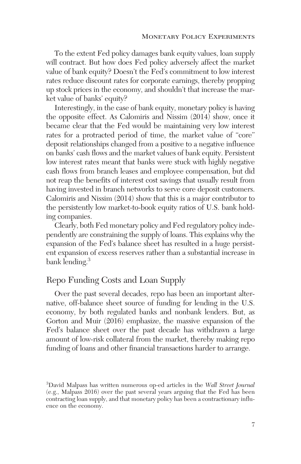To the extent Fed policy damages bank equity values, loan supply will contract. But how does Fed policy adversely affect the market value of bank equity? Doesn't the Fed's commitment to low interest rates reduce discount rates for corporate earnings, thereby propping up stock prices in the economy, and shouldn't that increase the market value of banks' equity?

Interestingly, in the case of bank equity, monetary policy is having the opposite effect. As Calomiris and Nissim (2014) show, once it became clear that the Fed would be maintaining very low interest rates for a protracted period of time, the market value of "core" deposit relationships changed from a positive to a negative influence on banks' cash flows and the market values of bank equity. Persistent low interest rates meant that banks were stuck with highly negative cash flows from branch leases and employee compensation, but did not reap the benefits of interest cost savings that usually result from having invested in branch networks to serve core deposit customers. Calomiris and Nissim (2014) show that this is a major contributor to the persistently low market-to-book equity ratios of U.S. bank holding companies.

Clearly, both Fed monetary policy and Fed regulatory policy independently are constraining the supply of loans. This explains why the expansion of the Fed's balance sheet has resulted in a huge persistent expansion of excess reserves rather than a substantial increase in bank lending.<sup>3</sup>

# Repo Funding Costs and Loan Supply

Over the past several decades, repo has been an important alternative, off-balance sheet source of funding for lending in the U.S. economy, by both regulated banks and nonbank lenders. But, as Gorton and Muir (2016) emphasize, the massive expansion of the Fed's balance sheet over the past decade has withdrawn a large amount of low-risk collateral from the market, thereby making repo funding of loans and other financial transactions harder to arrange.

<sup>3</sup> David Malpass has written numerous op-ed articles in the *Wall Street Journal* (e.g., Malpass 2016) over the past several years arguing that the Fed has been contracting loan supply, and that monetary policy has been a contractionary influence on the economy.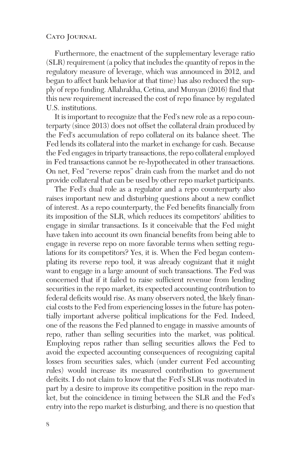Furthermore, the enactment of the supplementary leverage ratio (SLR) requirement (a policy that includes the quantity of repos in the regulatory measure of leverage, which was announced in 2012, and began to affect bank behavior at that time) has also reduced the supply of repo funding. Allahrakha, Cetina, and Munyan (2016) find that this new requirement increased the cost of repo finance by regulated U.S. institutions.

It is important to recognize that the Fed's new role as a repo counterparty (since 2013) does not offset the collateral drain produced by the Fed's accumulation of repo collateral on its balance sheet. The Fed lends its collateral into the market in exchange for cash. Because the Fed engages in triparty transactions, the repo collateral employed in Fed transactions cannot be re-hypothecated in other transactions. On net, Fed "reverse repos" drain cash from the market and do not provide collateral that can be used by other repo market participants.

The Fed's dual role as a regulator and a repo counterparty also raises important new and disturbing questions about a new conflict of interest. As a repo counterparty, the Fed benefits financially from its imposition of the SLR, which reduces its competitors' abilities to engage in similar transactions. Is it conceivable that the Fed might have taken into account its own financial benefits from being able to engage in reverse repo on more favorable terms when setting regulations for its competitors? Yes, it is. When the Fed began contemplating its reverse repo tool, it was already cognizant that it might want to engage in a large amount of such transactions. The Fed was concerned that if it failed to raise sufficient revenue from lending securities in the repo market, its expected accounting contribution to federal deficits would rise. As many observers noted, the likely financial costs to the Fed from experiencing losses in the future has potentially important adverse political implications for the Fed. Indeed, one of the reasons the Fed planned to engage in massive amounts of repo, rather than selling securities into the market, was political. Employing repos rather than selling securities allows the Fed to avoid the expected accounting consequences of recognizing capital losses from securities sales, which (under current Fed accounting rules) would increase its measured contribution to government deficits. I do not claim to know that the Fed's SLR was motivated in part by a desire to improve its competitive position in the repo market, but the coincidence in timing between the SLR and the Fed's entry into the repo market is disturbing, and there is no question that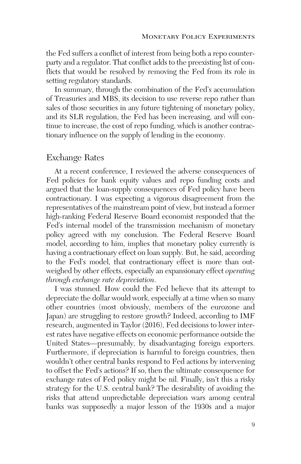the Fed suffers a conflict of interest from being both a repo counterparty and a regulator. That conflict adds to the preexisting list of conflicts that would be resolved by removing the Fed from its role in setting regulatory standards.

In summary, through the combination of the Fed's accumulation of Treasuries and MBS, its decision to use reverse repo rather than sales of those securities in any future tightening of monetary policy, and its SLR regulation, the Fed has been increasing, and will continue to increase, the cost of repo funding, which is another contractionary influence on the supply of lending in the economy.

# Exchange Rates

At a recent conference, I reviewed the adverse consequences of Fed policies for bank equity values and repo funding costs and argued that the loan-supply consequences of Fed policy have been contractionary. I was expecting a vigorous disagreement from the representatives of the mainstream point of view, but instead a former high-ranking Federal Reserve Board economist responded that the Fed's internal model of the transmission mechanism of monetary policy agreed with my conclusion. The Federal Reserve Board model, according to him, implies that monetary policy currently is having a contractionary effect on loan supply. But, he said, according to the Fed's model, that contractionary effect is more than outweighed by other effects, especially an expansionary effect *operating through exchange rate depreciation*.

I was stunned. How could the Fed believe that its attempt to depreciate the dollar would work, especially at a time when so many other countries (most obviously, members of the eurozone and Japan) are struggling to restore growth? Indeed, according to IMF research, augmented in Taylor (2016), Fed decisions to lower interest rates have negative effects on economic performance outside the United States—presumably, by disadvantaging foreign exporters. Furthermore, if depreciation is harmful to foreign countries, then wouldn't other central banks respond to Fed actions by intervening to offset the Fed's actions? If so, then the ultimate consequence for exchange rates of Fed policy might be nil. Finally, isn't this a risky strategy for the U.S. central bank? The desirability of avoiding the risks that attend unpredictable depreciation wars among central banks was supposedly a major lesson of the 1930s and a major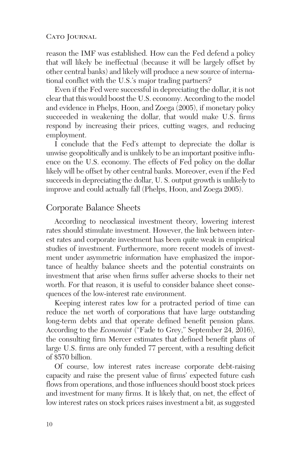reason the IMF was established. How can the Fed defend a policy that will likely be ineffectual (because it will be largely offset by other central banks) and likely will produce a new source of international conflict with the U.S.'s major trading partners?

Even if the Fed were successful in depreciating the dollar, it is not clear that this would boost the U.S. economy. According to the model and evidence in Phelps, Hoon, and Zoega (2005), if monetary policy succeeded in weakening the dollar, that would make U.S. firms respond by increasing their prices, cutting wages, and reducing employment.

I conclude that the Fed's attempt to depreciate the dollar is unwise geopolitically and is unlikely to be an important positive influence on the U.S. economy. The effects of Fed policy on the dollar likely will be offset by other central banks. Moreover, even if the Fed succeeds in depreciating the dollar, U. S. output growth is unlikely to improve and could actually fall (Phelps, Hoon, and Zoega 2005).

### Corporate Balance Sheets

According to neoclassical investment theory, lowering interest rates should stimulate investment. However, the link between interest rates and corporate investment has been quite weak in empirical studies of investment. Furthermore, more recent models of investment under asymmetric information have emphasized the importance of healthy balance sheets and the potential constraints on investment that arise when firms suffer adverse shocks to their net worth. For that reason, it is useful to consider balance sheet consequences of the low-interest rate environment.

Keeping interest rates low for a protracted period of time can reduce the net worth of corporations that have large outstanding long-term debts and that operate defined benefit pension plans. According to the *Economist* ("Fade to Grey," September 24, 2016), the consulting firm Mercer estimates that defined benefit plans of large U.S. firms are only funded 77 percent, with a resulting deficit of \$570 billion.

Of course, low interest rates increase corporate debt-raising capacity and raise the present value of firms' expected future cash flows from operations, and those influences should boost stock prices and investment for many firms. It is likely that, on net, the effect of low interest rates on stock prices raises investment a bit, as suggested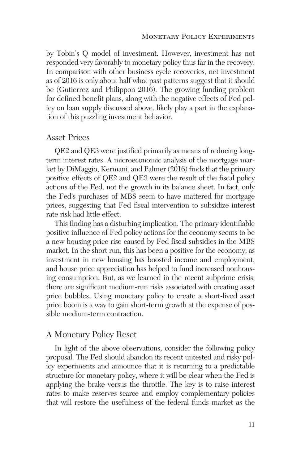by Tobin's Q model of investment. However, investment has not responded very favorably to monetary policy thus far in the recovery. In comparison with other business cycle recoveries, net investment as of 2016 is only about half what past patterns suggest that it should be (Gutierrez and Philippon 2016). The growing funding problem for defined benefit plans, along with the negative effects of Fed policy on loan supply discussed above, likely play a part in the explanation of this puzzling investment behavior.

#### Asset Prices

QE2 and QE3 were justified primarily as means of reducing longterm interest rates. A microeconomic analysis of the mortgage market by DiMaggio, Kermani, and Palmer (2016) finds that the primary positive effects of QE2 and QE3 were the result of the fiscal policy actions of the Fed, not the growth in its balance sheet. In fact, only the Fed's purchases of MBS seem to have mattered for mortgage prices, suggesting that Fed fiscal intervention to subsidize interest rate risk had little effect.

This finding has a disturbing implication. The primary identifiable positive influence of Fed policy actions for the economy seems to be a new housing price rise caused by Fed fiscal subsidies in the MBS market. In the short run, this has been a positive for the economy, as investment in new housing has boosted income and employment, and house price appreciation has helped to fund increased nonhousing consumption. But, as we learned in the recent subprime crisis, there are significant medium-run risks associated with creating asset price bubbles. Using monetary policy to create a short-lived asset price boom is a way to gain short-term growth at the expense of possible medium-term contraction.

# A Monetary Policy Reset

In light of the above observations, consider the following policy proposal. The Fed should abandon its recent untested and risky policy experiments and announce that it is returning to a predictable structure for monetary policy, where it will be clear when the Fed is applying the brake versus the throttle. The key is to raise interest rates to make reserves scarce and employ complementary policies that will restore the usefulness of the federal funds market as the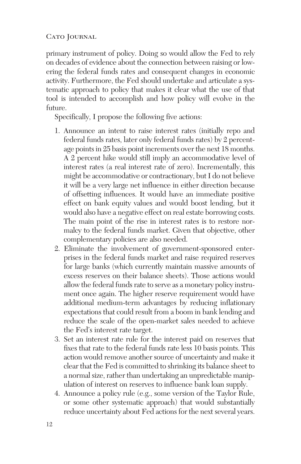primary instrument of policy. Doing so would allow the Fed to rely on decades of evidence about the connection between raising or lowering the federal funds rates and consequent changes in economic activity. Furthermore, the Fed should undertake and articulate a systematic approach to policy that makes it clear what the use of that tool is intended to accomplish and how policy will evolve in the future.

Specifically, I propose the following five actions:

- 1. Announce an intent to raise interest rates (initially repo and federal funds rates, later only federal funds rates) by 2 percentage points in 25 basis point increments over the next 18 months. A 2 percent hike would still imply an accommodative level of interest rates (a real interest rate of zero). Incrementally, this might be accommodative or contractionary, but I do not believe it will be a very large net influence in either direction because of offsetting influences. It would have an immediate positive effect on bank equity values and would boost lending, but it would also have a negative effect on real estate borrowing costs. The main point of the rise in interest rates is to restore normalcy to the federal funds market. Given that objective, other complementary policies are also needed.
- 2. Eliminate the involvement of government-sponsored enterprises in the federal funds market and raise required reserves for large banks (which currently maintain massive amounts of excess reserves on their balance sheets). Those actions would allow the federal funds rate to serve as a monetary policy instrument once again. The higher reserve requirement would have additional medium-term advantages by reducing inflationary expectations that could result from a boom in bank lending and reduce the scale of the open-market sales needed to achieve the Fed's interest rate target.
- 3. Set an interest rate rule for the interest paid on reserves that fixes that rate to the federal funds rate less 10 basis points. This action would remove another source of uncertainty and make it clear that the Fed is committed to shrinking its balance sheet to a normal size, rather than undertaking an unpredictable manipulation of interest on reserves to influence bank loan supply.
- 4. Announce a policy rule (e.g., some version of the Taylor Rule, or some other systematic approach) that would substantially reduce uncertainty about Fed actions for the next several years.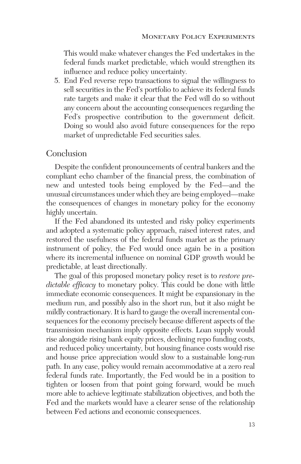This would make whatever changes the Fed undertakes in the federal funds market predictable, which would strengthen its influence and reduce policy uncertainty.

5. End Fed reverse repo transactions to signal the willingness to sell securities in the Fed's portfolio to achieve its federal funds rate targets and make it clear that the Fed will do so without any concern about the accounting consequences regarding the Fed's prospective contribution to the government deficit. Doing so would also avoid future consequences for the repo market of unpredictable Fed securities sales.

### Conclusion

Despite the confident pronouncements of central bankers and the compliant echo chamber of the financial press, the combination of new and untested tools being employed by the Fed—and the unusual circumstances under which they are being employed—make the consequences of changes in monetary policy for the economy highly uncertain.

If the Fed abandoned its untested and risky policy experiments and adopted a systematic policy approach, raised interest rates, and restored the usefulness of the federal funds market as the primary instrument of policy, the Fed would once again be in a position where its incremental influence on nominal GDP growth would be predictable, at least directionally.

The goal of this proposed monetary policy reset is to *restore predictable efficacy* to monetary policy. This could be done with little immediate economic consequences. It might be expansionary in the medium run, and possibly also in the short run, but it also might be mildly contractionary. It is hard to gauge the overall incremental consequences for the economy precisely because different aspects of the transmission mechanism imply opposite effects. Loan supply would rise alongside rising bank equity prices, declining repo funding costs, and reduced policy uncertainty, but housing finance costs would rise and house price appreciation would slow to a sustainable long-run path. In any case, policy would remain accommodative at a zero real federal funds rate. Importantly, the Fed would be in a position to tighten or loosen from that point going forward, would be much more able to achieve legitimate stabilization objectives, and both the Fed and the markets would have a clearer sense of the relationship between Fed actions and economic consequences.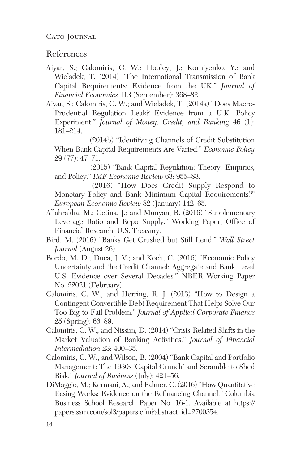## References

- Aiyar, S.; Calomiris, C. W.; Hooley, J.; Korniyenko, Y.; and Wieladek, T. (2014) "The International Transmission of Bank Capital Requirements: Evidence from the UK." *Journal of Financial Economics* 113 (September): 368–82.
- Aiyar, S.; Calomiris, C. W.; and Wieladek, T. (2014a) "Does Macro-Prudential Regulation Leak? Evidence from a U.K. Policy Experiment." *Journal of Money, Credit, and Banking* 46 (1): 181–214.
	- (2014b) "Identifying Channels of Credit Substitution When Bank Capital Requirements Are Varied." *Economic Policy* 29 (77): 47–71.
	- (2015) "Bank Capital Regulation: Theory, Empirics, and Policy." *IMF Economic Review* 63: 955–83.
	- (2016) "How Does Credit Supply Respond to Monetary Policy and Bank Minimum Capital Requirements?" *European Economic Review* 82 (January) 142–65.
- Allahrakha, M.; Cetina, J.; and Munyan, B. (2016) "Supplementary Leverage Ratio and Repo Supply." Working Paper, Office of Financial Research, U.S. Treasury.
- Bird, M. (2016) "Banks Get Crushed but Still Lend." *Wall Street Journal* (August 26).
- Bordo, M. D.; Duca, J. V.; and Koch, C. (2016) "Economic Policy Uncertainty and the Credit Channel: Aggregate and Bank Level U.S. Evidence over Several Decades." NBER Working Paper No. 22021 (February).
- Calomiris, C. W., and Herring, R. J. (2013) "How to Design a Contingent Convertible Debt Requirement That Helps Solve Our Too-Big-to-Fail Problem." *Journal of Applied Corporate Finance* 25 (Spring): 66–89.
- Calomiris, C. W., and Nissim, D. (2014) "Crisis-Related Shifts in the Market Valuation of Banking Activities." *Journal of Financial Intermediation* 23: 400–35.
- Calomiris, C. W., and Wilson, B. (2004) "Bank Capital and Portfolio Management: The 1930s 'Capital Crunch' and Scramble to Shed Risk." *Journal of Business* (July): 421–56.
- DiMaggio, M.; Kermani, A.; and Palmer, C. (2016) "How Quantitative Easing Works: Evidence on the Refinancing Channel." Columbia Business School Research Paper No. 16-1. Available at https:// papers.ssrn.com/sol3/papers.cfm?abstract\_id=2700354.